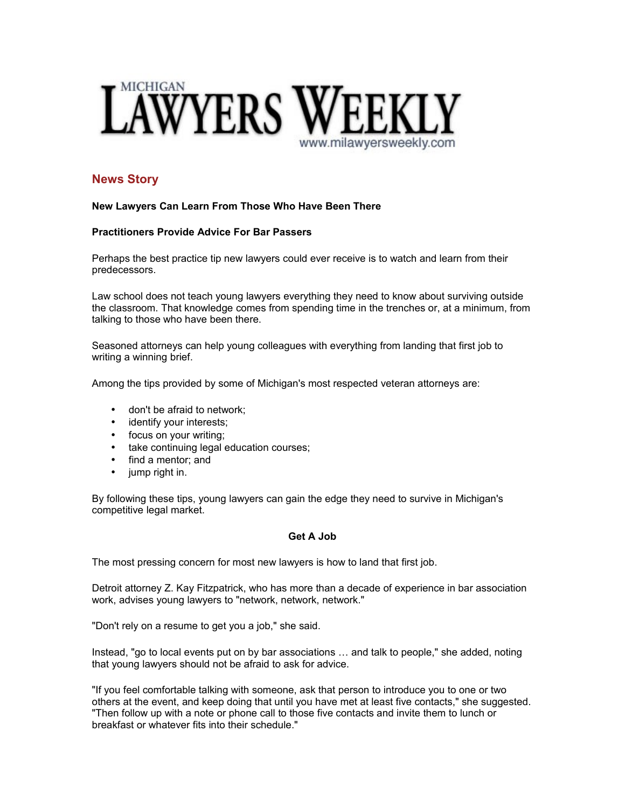

# **News Story**

## **New Lawyers Can Learn From Those Who Have Been There**

## **Practitioners Provide Advice For Bar Passers**

Perhaps the best practice tip new lawyers could ever receive is to watch and learn from their predecessors.

Law school does not teach young lawyers everything they need to know about surviving outside the classroom. That knowledge comes from spending time in the trenches or, at a minimum, from talking to those who have been there.

Seasoned attorneys can help young colleagues with everything from landing that first job to writing a winning brief.

Among the tips provided by some of Michigan's most respected veteran attorneys are:

- don't be afraid to network;
- identify your interests;
- focus on your writing;
- take continuing legal education courses;
- find a mentor; and
- jump right in.

By following these tips, young lawyers can gain the edge they need to survive in Michigan's competitive legal market.

## **Get A Job**

The most pressing concern for most new lawyers is how to land that first job.

Detroit attorney Z. Kay Fitzpatrick, who has more than a decade of experience in bar association work, advises young lawyers to "network, network, network."

"Don't rely on a resume to get you a job," she said.

Instead, "go to local events put on by bar associations … and talk to people," she added, noting that young lawyers should not be afraid to ask for advice.

"If you feel comfortable talking with someone, ask that person to introduce you to one or two others at the event, and keep doing that until you have met at least five contacts," she suggested. "Then follow up with a note or phone call to those five contacts and invite them to lunch or breakfast or whatever fits into their schedule."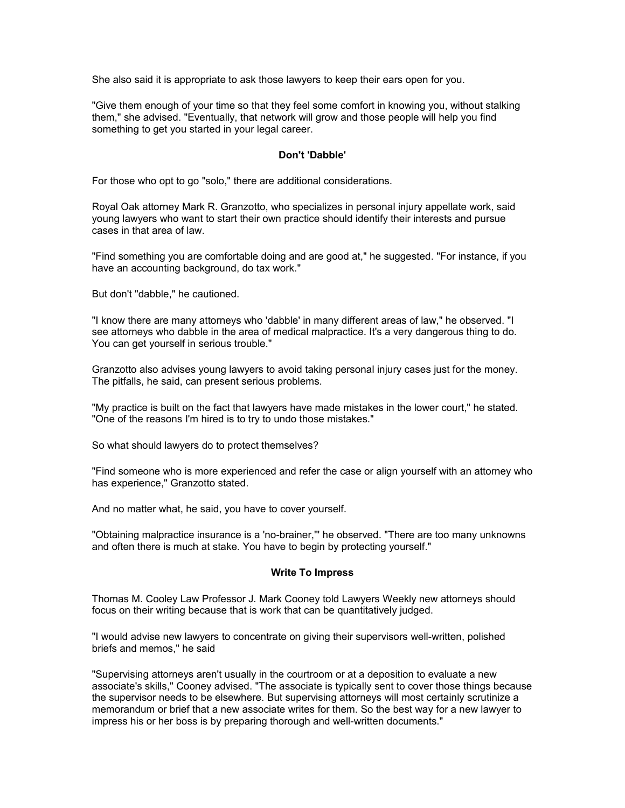She also said it is appropriate to ask those lawyers to keep their ears open for you.

"Give them enough of your time so that they feel some comfort in knowing you, without stalking them," she advised. "Eventually, that network will grow and those people will help you find something to get you started in your legal career.

## **Don't 'Dabble'**

For those who opt to go "solo," there are additional considerations.

Royal Oak attorney Mark R. Granzotto, who specializes in personal injury appellate work, said young lawyers who want to start their own practice should identify their interests and pursue cases in that area of law.

"Find something you are comfortable doing and are good at," he suggested. "For instance, if you have an accounting background, do tax work."

But don't "dabble," he cautioned.

"I know there are many attorneys who 'dabble' in many different areas of law," he observed. "I see attorneys who dabble in the area of medical malpractice. It's a very dangerous thing to do. You can get yourself in serious trouble."

Granzotto also advises young lawyers to avoid taking personal injury cases just for the money. The pitfalls, he said, can present serious problems.

"My practice is built on the fact that lawyers have made mistakes in the lower court," he stated. "One of the reasons I'm hired is to try to undo those mistakes."

So what should lawyers do to protect themselves?

"Find someone who is more experienced and refer the case or align yourself with an attorney who has experience," Granzotto stated.

And no matter what, he said, you have to cover yourself.

"Obtaining malpractice insurance is a 'no-brainer,'" he observed. "There are too many unknowns and often there is much at stake. You have to begin by protecting yourself."

## **Write To Impress**

Thomas M. Cooley Law Professor J. Mark Cooney told Lawyers Weekly new attorneys should focus on their writing because that is work that can be quantitatively judged.

"I would advise new lawyers to concentrate on giving their supervisors well-written, polished briefs and memos," he said

"Supervising attorneys aren't usually in the courtroom or at a deposition to evaluate a new associate's skills," Cooney advised. "The associate is typically sent to cover those things because the supervisor needs to be elsewhere. But supervising attorneys will most certainly scrutinize a memorandum or brief that a new associate writes for them. So the best way for a new lawyer to impress his or her boss is by preparing thorough and well-written documents."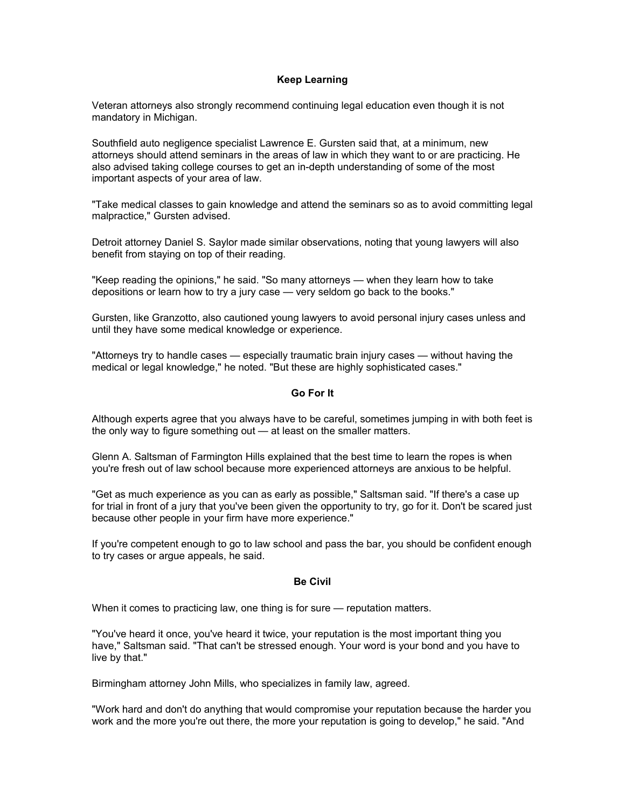## **Keep Learning**

Veteran attorneys also strongly recommend continuing legal education even though it is not mandatory in Michigan.

Southfield auto negligence specialist Lawrence E. Gursten said that, at a minimum, new attorneys should attend seminars in the areas of law in which they want to or are practicing. He also advised taking college courses to get an in-depth understanding of some of the most important aspects of your area of law.

"Take medical classes to gain knowledge and attend the seminars so as to avoid committing legal malpractice," Gursten advised.

Detroit attorney Daniel S. Saylor made similar observations, noting that young lawyers will also benefit from staying on top of their reading.

"Keep reading the opinions," he said. "So many attorneys — when they learn how to take depositions or learn how to try a jury case — very seldom go back to the books."

Gursten, like Granzotto, also cautioned young lawyers to avoid personal injury cases unless and until they have some medical knowledge or experience.

"Attorneys try to handle cases — especially traumatic brain injury cases — without having the medical or legal knowledge," he noted. "But these are highly sophisticated cases."

#### **Go For It**

Although experts agree that you always have to be careful, sometimes jumping in with both feet is the only way to figure something out — at least on the smaller matters.

Glenn A. Saltsman of Farmington Hills explained that the best time to learn the ropes is when you're fresh out of law school because more experienced attorneys are anxious to be helpful.

"Get as much experience as you can as early as possible," Saltsman said. "If there's a case up for trial in front of a jury that you've been given the opportunity to try, go for it. Don't be scared just because other people in your firm have more experience."

If you're competent enough to go to law school and pass the bar, you should be confident enough to try cases or argue appeals, he said.

#### **Be Civil**

When it comes to practicing law, one thing is for sure — reputation matters.

"You've heard it once, you've heard it twice, your reputation is the most important thing you have," Saltsman said. "That can't be stressed enough. Your word is your bond and you have to live by that."

Birmingham attorney John Mills, who specializes in family law, agreed.

"Work hard and don't do anything that would compromise your reputation because the harder you work and the more you're out there, the more your reputation is going to develop," he said. "And